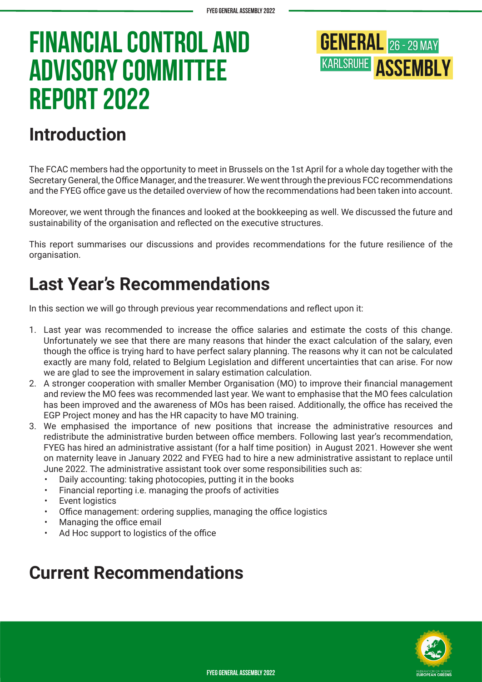

## **Introduction**

The FCAC members had the opportunity to meet in Brussels on the 1st April for a whole day together with the Secretary General, the Office Manager, and the treasurer. We went through the previous FCC recommendations and the FYEG office gave us the detailed overview of how the recommendations had been taken into account.

Moreover, we went through the finances and looked at the bookkeeping as well. We discussed the future and sustainability of the organisation and reflected on the executive structures.

This report summarises our discussions and provides recommendations for the future resilience of the organisation.

## **Last Year's Recommendations**

In this section we will go through previous year recommendations and reflect upon it:

- 1. Last year was recommended to increase the office salaries and estimate the costs of this change. Unfortunately we see that there are many reasons that hinder the exact calculation of the salary, even though the office is trying hard to have perfect salary planning. The reasons why it can not be calculated exactly are many fold, related to Belgium Legislation and different uncertainties that can arise. For now we are glad to see the improvement in salary estimation calculation.
- 2. A stronger cooperation with smaller Member Organisation (MO) to improve their financial management and review the MO fees was recommended last year. We want to emphasise that the MO fees calculation has been improved and the awareness of MOs has been raised. Additionally, the office has received the EGP Project money and has the HR capacity to have MO training.
- 3. We emphasised the importance of new positions that increase the administrative resources and redistribute the administrative burden between office members. Following last year's recommendation, FYEG has hired an administrative assistant (for a half time position) in August 2021. However she went on maternity leave in January 2022 and FYEG had to hire a new administrative assistant to replace until June 2022. The administrative assistant took over some responsibilities such as:
	- Daily accounting: taking photocopies, putting it in the books
	- Financial reporting i.e. managing the proofs of activities
	- **Event logistics**
	- Office management: ordering supplies, managing the office logistics
	- Managing the office email
	- Ad Hoc support to logistics of the office

### **Current Recommendations**

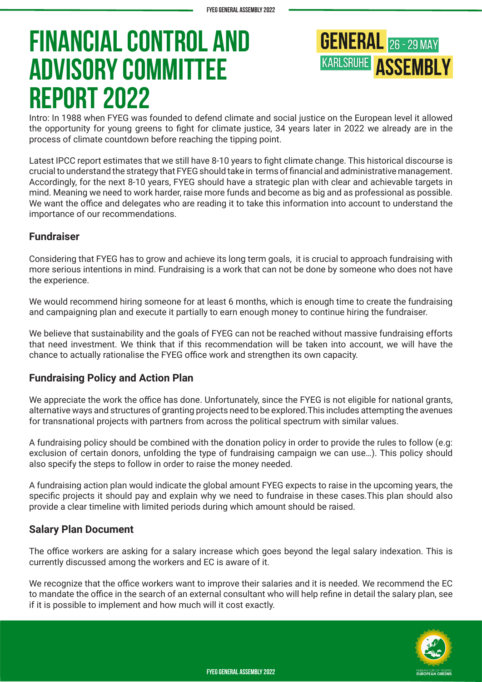**GENERAL** 26 - 29 MAY **KARLSRUHE ASSEMBLY** 

Intro: In 1988 when FYEG was founded to defend climate and social justice on the European level it allowed the opportunity for young greens to fight for climate justice, 34 years later in 2022 we already are in the process of climate countdown before reaching the tipping point.

Latest IPCC report estimates that we still have 8-10 years to fight climate change. This historical discourse is crucial to understand the strategy that FYEG should take in terms of financial and administrative management. Accordingly, for the next 8-10 years, FYEG should have a strategic plan with clear and achievable targets in mind. Meaning we need to work harder, raise more funds and become as big and as professional as possible. We want the office and delegates who are reading it to take this information into account to understand the importance of our recommendations.

### **Fundraiser**

Considering that FYEG has to grow and achieve its long term goals, it is crucial to approach fundraising with more serious intentions in mind. Fundraising is a work that can not be done by someone who does not have the experience.

We would recommend hiring someone for at least 6 months, which is enough time to create the fundraising and campaigning plan and execute it partially to earn enough money to continue hiring the fundraiser.

We believe that sustainability and the goals of FYEG can not be reached without massive fundraising efforts that need investment. We think that if this recommendation will be taken into account, we will have the chance to actually rationalise the FYEG office work and strengthen its own capacity.

### **Fundraising Policy and Action Plan**

We appreciate the work the office has done. Unfortunately, since the FYEG is not eligible for national grants, alternative ways and structures of granting projects need to be explored.This includes attempting the avenues for transnational projects with partners from across the political spectrum with similar values.

A fundraising policy should be combined with the donation policy in order to provide the rules to follow (e.g: exclusion of certain donors, unfolding the type of fundraising campaign we can use…). This policy should also specify the steps to follow in order to raise the money needed.

A fundraising action plan would indicate the global amount FYEG expects to raise in the upcoming years, the specific projects it should pay and explain why we need to fundraise in these cases.This plan should also provide a clear timeline with limited periods during which amount should be raised.

### **Salary Plan Document**

The office workers are asking for a salary increase which goes beyond the legal salary indexation. This is currently discussed among the workers and EC is aware of it.

We recognize that the office workers want to improve their salaries and it is needed. We recommend the EC to mandate the office in the search of an external consultant who will help refine in detail the salary plan, see if it is possible to implement and how much will it cost exactly.

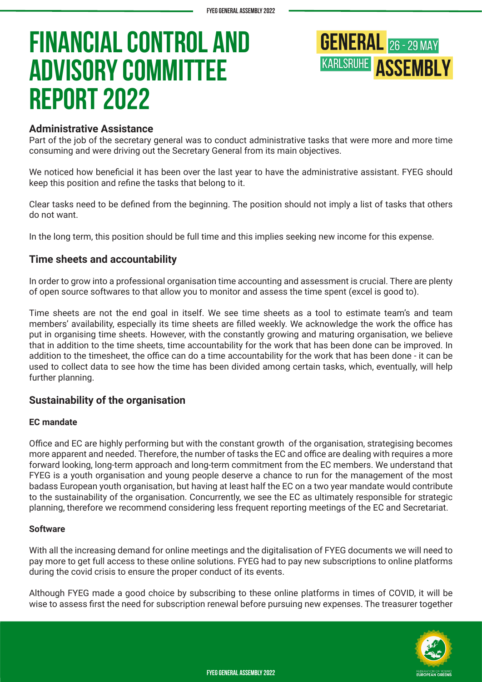## **GENERAL** 26 - 29 MAY **KARLSRUHE ASSEMBLY**

### **Administrative Assistance**

Part of the job of the secretary general was to conduct administrative tasks that were more and more time consuming and were driving out the Secretary General from its main objectives.

We noticed how beneficial it has been over the last year to have the administrative assistant. FYEG should keep this position and refine the tasks that belong to it.

Clear tasks need to be defined from the beginning. The position should not imply a list of tasks that others do not want.

In the long term, this position should be full time and this implies seeking new income for this expense.

### **Time sheets and accountability**

In order to grow into a professional organisation time accounting and assessment is crucial. There are plenty of open source softwares to that allow you to monitor and assess the time spent (excel is good to).

Time sheets are not the end goal in itself. We see time sheets as a tool to estimate team's and team members' availability, especially its time sheets are filled weekly. We acknowledge the work the office has put in organising time sheets. However, with the constantly growing and maturing organisation, we believe that in addition to the time sheets, time accountability for the work that has been done can be improved. In addition to the timesheet, the office can do a time accountability for the work that has been done - it can be used to collect data to see how the time has been divided among certain tasks, which, eventually, will help further planning.

### **Sustainability of the organisation**

### **EC mandate**

Office and EC are highly performing but with the constant growth of the organisation, strategising becomes more apparent and needed. Therefore, the number of tasks the EC and office are dealing with requires a more forward looking, long-term approach and long-term commitment from the EC members. We understand that FYEG is a youth organisation and young people deserve a chance to run for the management of the most badass European youth organisation, but having at least half the EC on a two year mandate would contribute to the sustainability of the organisation. Concurrently, we see the EC as ultimately responsible for strategic planning, therefore we recommend considering less frequent reporting meetings of the EC and Secretariat.

### **Software**

With all the increasing demand for online meetings and the digitalisation of FYEG documents we will need to pay more to get full access to these online solutions. FYEG had to pay new subscriptions to online platforms during the covid crisis to ensure the proper conduct of its events.

Although FYEG made a good choice by subscribing to these online platforms in times of COVID, it will be wise to assess first the need for subscription renewal before pursuing new expenses. The treasurer together